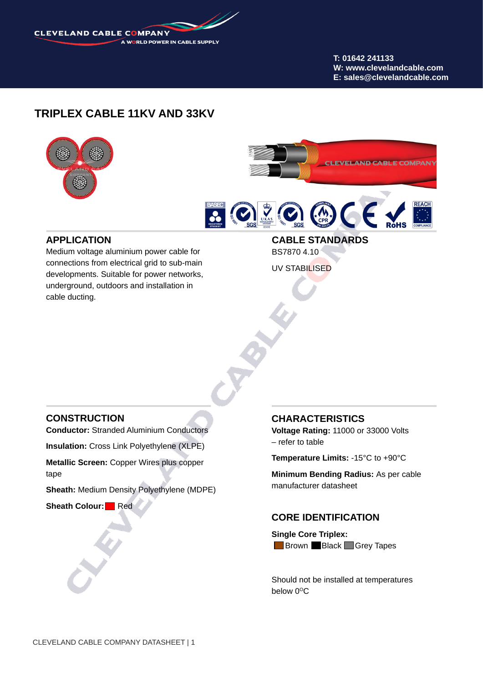

**T: 01642 241133 W: www.clevelandcable.com E: sales@clevelandcable.com**

## **TRIPLEX CABLE 11KV AND 33KV**





### **APPLICATION**

Medium voltage aluminium power cable for connections from electrical grid to sub-main developments. Suitable for power networks, underground, outdoors and installation in cable ducting.

**CABLE STANDARDS** BS7870 4.10 UV STABILISED

### **CONSTRUCTION**

**Conductor:** Stranded Aluminium Conductors

**Insulation:** Cross Link Polyethylene (XLPE)

**Metallic Screen:** Copper Wires plus copper tape

**Sheath:** Medium Density Polyethylene (MDPE)

**Sheath Colour:** Red

#### **CHARACTERISTICS**

**Voltage Rating:** 11000 or 33000 Volts – refer to table

**Temperature Limits:** -15°C to +90°C

**Minimum Bending Radius:** As per cable manufacturer datasheet

### **CORE IDENTIFICATION**

**Single Core Triplex: Brown Black Grey Tapes** 

Should not be installed at temperatures below  $0^{\circ}$ C